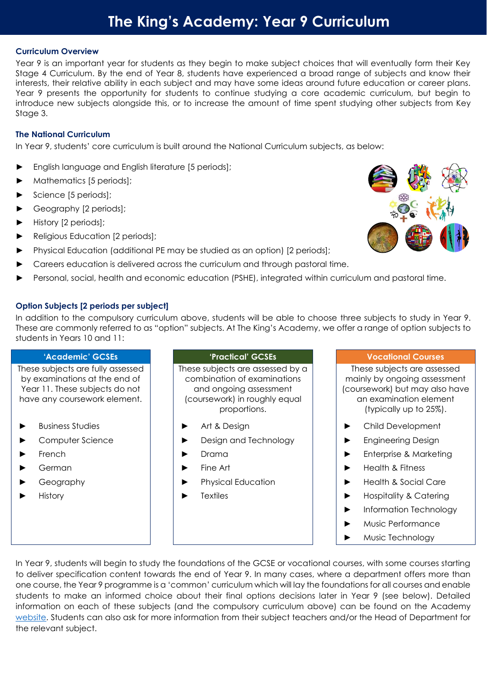# **The King's Academy: Year 9 Curriculum**

# **Curriculum Overview**

Year 9 is an important year for students as they begin to make subject choices that will eventually form their Key Stage 4 Curriculum. By the end of Year 8, students have experienced a broad range of subjects and know their interests, their relative ability in each subject and may have some ideas around future education or career plans. Year 9 presents the opportunity for students to continue studying a core academic curriculum, but begin to introduce new subjects alongside this, or to increase the amount of time spent studying other subjects from Key Stage 3.

# **The National Curriculum**

In Year 9, students' core curriculum is built around the National Curriculum subjects, as below:

- English language and English literature [5 periods];
- Mathematics [5 periods];
- Science [5 periods];
- Geography [2 periods];
- History [2 periods];
- ► Religious Education [2 periods];
- Physical Education (additional PE may be studied as an option) [2 periods];
- Careers education is delivered across the curriculum and through pastoral time.
- Personal, social, health and economic education (PSHE), integrated within curriculum and pastoral time.

# **Option Subjects [2 periods per subject]**

In addition to the compulsory curriculum above, students will be able to choose three subjects to study in Year 9. These are commonly referred to as "option" subjects. At The King's Academy, we offer a range of option subjects to students in Years 10 and 11:

#### **'Academic' GCSEs 'Practical' GCSEs Vocational Courses** These subjects are fully assessed by examinations at the end of Year 11. These subjects do not have any coursework element. These subjects are assessed by a combination of examinations and ongoing assessment (coursework) in roughly equal proportions. These subjects are assessed mainly by ongoing assessment (coursework) but may also have an examination element (typically up to 25%). ► Business Studies ► Art & Design ► Child Development ► Computer Science ► Design and Technology ► Engineering Design ► French ► Drama ► Enterprise & Marketing ► German ► Fine Art ► Health & Fitness ► Geography ► Physical Education ► Health & Social Care ► History ► Textiles ► Hospitality & Catering ► Information Technology ► Music Performance

In Year 9, students will begin to study the foundations of the GCSE or vocational courses, with some courses starting to deliver specification content towards the end of Year 9. In many cases, where a department offers more than one course, the Year 9 programme is a 'common' curriculum which will lay the foundations for all courses and enable students to make an informed choice about their final options decisions later in Year 9 (see below). Detailed information on each of these subjects (and the compulsory curriculum above) can be found on the Academy [website.](https://www.thekingsacademy.org.uk/students/pathways/) Students can also ask for more information from their subject teachers and/or the Head of Department for the relevant subject.



► Music Technology